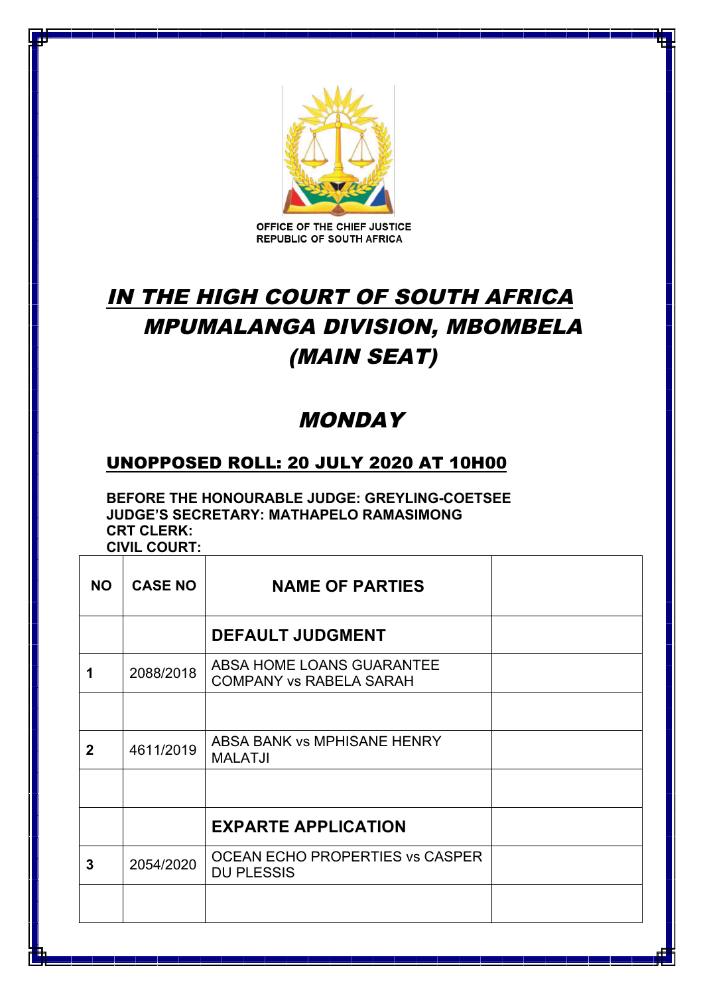

OFFICE OF THE CHIEF JUSTICE **REPUBLIC OF SOUTH AFRICA** 

## IN THE HIGH COURT OF SOUTH AFRICA MPUMALANGA DIVISION, MBOMBELA (MAIN SEAT)

## **MONDAY**

## UNOPPOSED ROLL: 20 JULY 2020 AT 10H00

**BEFORE THE HONOURABLE JUDGE: GREYLING-COETSEE JUDGE'S SECRETARY: MATHAPELO RAMASIMONG CRT CLERK:** 

**CIVIL COURT:** 

| <b>NO</b>    | <b>CASE NO</b> | <b>NAME OF PARTIES</b>                                      |  |
|--------------|----------------|-------------------------------------------------------------|--|
|              |                | <b>DEFAULT JUDGMENT</b>                                     |  |
| 1            | 2088/2018      | ABSA HOME LOANS GUARANTEE<br><b>COMPANY vs RABELA SARAH</b> |  |
|              |                |                                                             |  |
| $\mathbf{2}$ | 4611/2019      | ABSA BANK vs MPHISANE HENRY<br><b>MALATJI</b>               |  |
|              |                |                                                             |  |
|              |                | <b>EXPARTE APPLICATION</b>                                  |  |
| 3            | 2054/2020      | OCEAN ECHO PROPERTIES VS CASPER<br><b>DU PLESSIS</b>        |  |
|              |                |                                                             |  |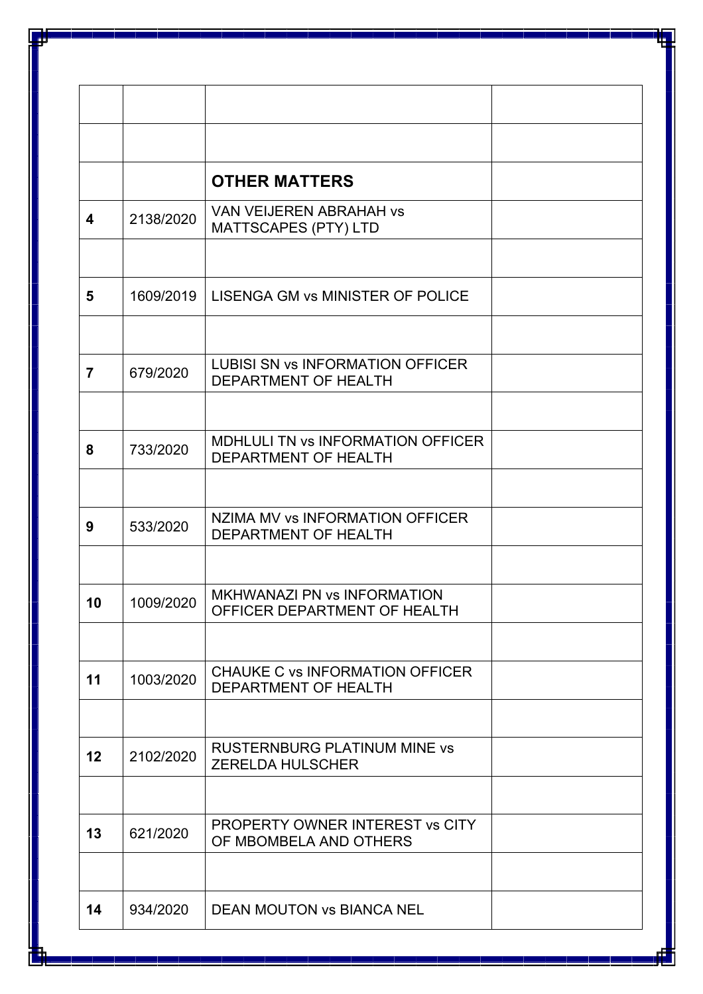| 2138/2020 | MATTSCAPES (PTY) LTD                                            |                                                                                                                                |
|-----------|-----------------------------------------------------------------|--------------------------------------------------------------------------------------------------------------------------------|
|           |                                                                 |                                                                                                                                |
|           |                                                                 |                                                                                                                                |
| 679/2020  | <b>LUBISI SN vs INFORMATION OFFICER</b><br>DEPARTMENT OF HEALTH |                                                                                                                                |
|           | <b>MDHLULI TN vs INFORMATION OFFICER</b>                        |                                                                                                                                |
|           | DEPARTMENT OF HEALTH                                            |                                                                                                                                |
| 533/2020  | NZIMA MV vs INFORMATION OFFICER<br>DEPARTMENT OF HEALTH         |                                                                                                                                |
|           |                                                                 |                                                                                                                                |
| 1009/2020 | MKHWANAZI PN vs INFORMATION<br>OFFICER DEPARTMENT OF HEALTH     |                                                                                                                                |
|           |                                                                 |                                                                                                                                |
| 1003/2020 | <b>CHAUKE C vs INFORMATION OFFICER</b><br>DEPARTMENT OF HEALTH  |                                                                                                                                |
|           |                                                                 |                                                                                                                                |
| 2102/2020 | <b>RUSTERNBURG PLATINUM MINE vs</b><br><b>ZERELDA HULSCHER</b>  |                                                                                                                                |
|           |                                                                 |                                                                                                                                |
| 621/2020  | PROPERTY OWNER INTEREST vs CITY<br>OF MBOMBELA AND OTHERS       |                                                                                                                                |
|           |                                                                 |                                                                                                                                |
|           | 1609/2019<br>733/2020<br>934/2020                               | <b>OTHER MATTERS</b><br><b>VAN VEIJEREN ABRAHAH vs</b><br>LISENGA GM vs MINISTER OF POLICE<br><b>DEAN MOUTON VS BIANCA NEL</b> |